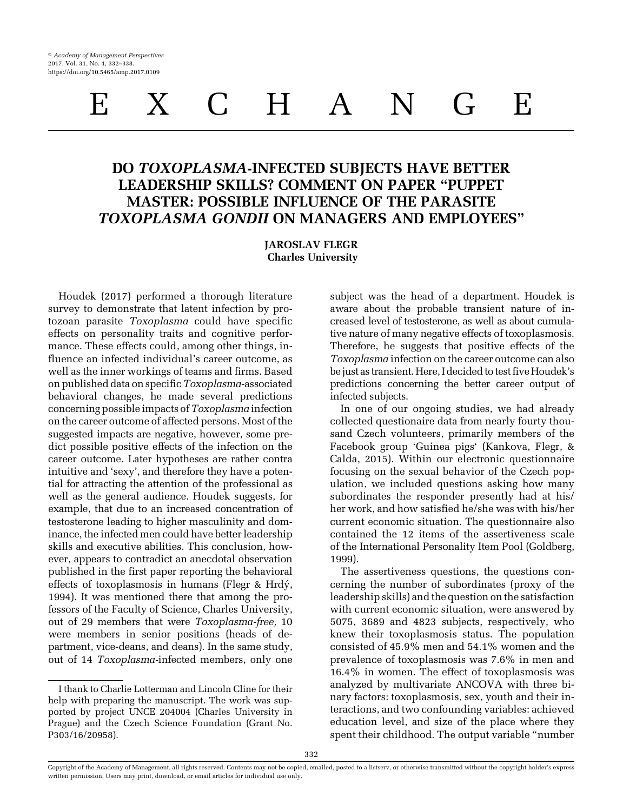# DO TOXOPLASMA-INFECTED SUBJECTS HAVE BETTER LEADERSHIP SKILLS? COMMENT ON PAPER "PUPPET MASTER: POSSIBLE INFLUENCE OF THE PARASITE TOXOPLASMA GONDII ON MANAGERS AND EMPLOYEES"

## JAROSLAV FLEGR Charles University

[Houdek \(2017\)](#page-6-0) performed a thorough literature survey to demonstrate that latent infection by protozoan parasite Toxoplasma could have specific effects on personality traits and cognitive performance. These effects could, among other things, influence an infected individual's career outcome, as well as the inner workings of teams and firms. Based on published data on specific Toxoplasma-associated behavioral changes, he made several predictions concerning possible impacts of Toxoplasma infection on the career outcome of affected persons. Most of the suggested impacts are negative, however, some predict possible positive effects of the infection on the career outcome. Later hypotheses are rather contra intuitive and 'sexy', and therefore they have a potential for attracting the attention of the professional as well as the general audience. Houdek suggests, for example, that due to an increased concentration of testosterone leading to higher masculinity and dominance, the infected men could have better leadership skills and executive abilities. This conclusion, however, appears to contradict an anecdotal observation published in the first paper reporting the behavioral effects of toxoplasmosis in humans (Flegr & Hrdý, [1994\)](#page-6-0). It was mentioned there that among the professors of the Faculty of Science, Charles University, out of 29 members that were Toxoplasma-free, 10 were members in senior positions (heads of department, vice-deans, and deans). In the same study, out of 14 Toxoplasma-infected members, only one

I thank to Charlie Lotterman and Lincoln Cline for their help with preparing the manuscript. The work was supported by project UNCE 204004 (Charles University in Prague) and the Czech Science Foundation (Grant No. P303/16/20958).

subject was the head of a department. Houdek is aware about the probable transient nature of increased level of testosterone, as well as about cumulative nature of many negative effects of toxoplasmosis. Therefore, he suggests that positive effects of the Toxoplasma infection on the career outcome can also be just as transient. Here, I decided to test five Houdek's predictions concerning the better career output of infected subjects.

In one of our ongoing studies, we had already collected questionaire data from nearly fourty thousand Czech volunteers, primarily members of the Facebook group 'Guinea pigs' [\(Kankova, Flegr, &](#page-6-0) [Calda, 2015](#page-6-0)). Within our electronic questionnaire focusing on the sexual behavior of the Czech population, we included questions asking how many subordinates the responder presently had at his/ her work, and how satisfied he/she was with his/her current economic situation. The questionnaire also contained the 12 items of the assertiveness scale of the International Personality Item Pool ([Goldberg,](#page-6-0) [1999\)](#page-6-0).

The assertiveness questions, the questions concerning the number of subordinates (proxy of the leadership skills) and the question on the satisfaction with current economic situation, were answered by 5075, 3689 and 4823 subjects, respectively, who knew their toxoplasmosis status. The population consisted of 45.9% men and 54.1% women and the prevalence of toxoplasmosis was 7.6% in men and 16.4% in women. The effect of toxoplasmosis was analyzed by multivariate ANCOVA with three binary factors: toxoplasmosis, sex, youth and their interactions, and two confounding variables: achieved education level, and size of the place where they spent their childhood. The output variable "number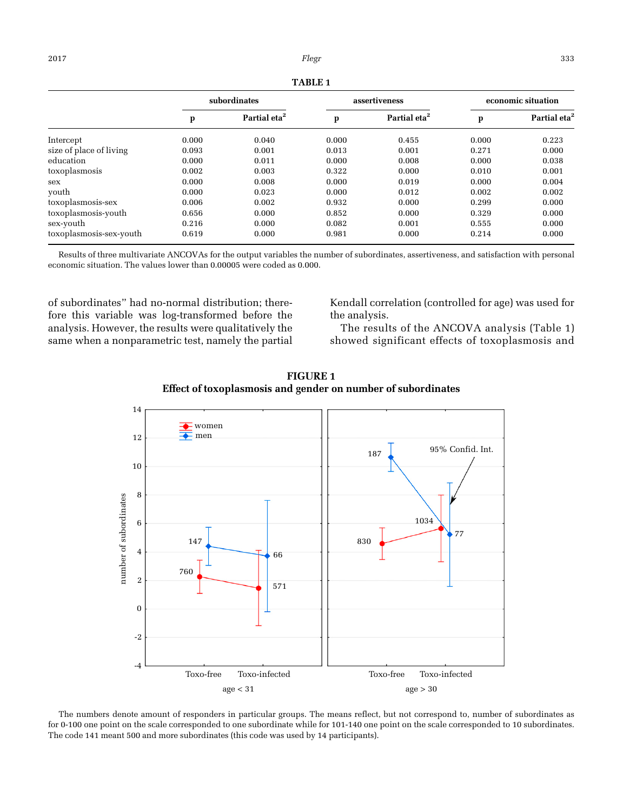| п<br>т<br>DL. |
|---------------|
|---------------|

<span id="page-1-0"></span>

|                         | subordinates |                          | assertiveness |                          | economic situation |                          |
|-------------------------|--------------|--------------------------|---------------|--------------------------|--------------------|--------------------------|
|                         | p            | Partial eta <sup>2</sup> | p             | Partial eta <sup>2</sup> | p                  | Partial eta <sup>2</sup> |
| Intercept               | 0.000        | 0.040                    | 0.000         | 0.455                    | 0.000              | 0.223                    |
| size of place of living | 0.093        | 0.001                    | 0.013         | 0.001                    | 0.271              | 0.000                    |
| education               | 0.000        | 0.011                    | 0.000         | 0.008                    | 0.000              | 0.038                    |
| toxoplasmosis           | 0.002        | 0.003                    | 0.322         | 0.000                    | 0.010              | 0.001                    |
| sex                     | 0.000        | 0.008                    | 0.000         | 0.019                    | 0.000              | 0.004                    |
| youth                   | 0.000        | 0.023                    | 0.000         | 0.012                    | 0.002              | 0.002                    |
| toxoplasmosis-sex       | 0.006        | 0.002                    | 0.932         | 0.000                    | 0.299              | 0.000                    |
| toxoplasmosis-youth     | 0.656        | 0.000                    | 0.852         | 0.000                    | 0.329              | 0.000                    |
| sex-youth               | 0.216        | 0.000                    | 0.082         | 0.001                    | 0.555              | 0.000                    |
| toxoplasmosis-sex-youth | 0.619        | 0.000                    | 0.981         | 0.000                    | 0.214              | 0.000                    |

Results of three multivariate ANCOVAs for the output variables the number of subordinates, assertiveness, and satisfaction with personal economic situation. The values lower than 0.00005 were coded as 0.000.

of subordinates" had no-normal distribution; therefore this variable was log-transformed before the analysis. However, the results were qualitatively the same when a nonparametric test, namely the partial Kendall correlation (controlled for age) was used for the analysis.

The results of the ANCOVA analysis (Table 1) showed significant effects of toxoplasmosis and





The numbers denote amount of responders in particular groups. The means reflect, but not correspond to, number of subordinates as for 0-100 one point on the scale corresponded to one subordinate while for 101-140 one point on the scale corresponded to 10 subordinates. The code 141 meant 500 and more subordinates (this code was used by 14 participants).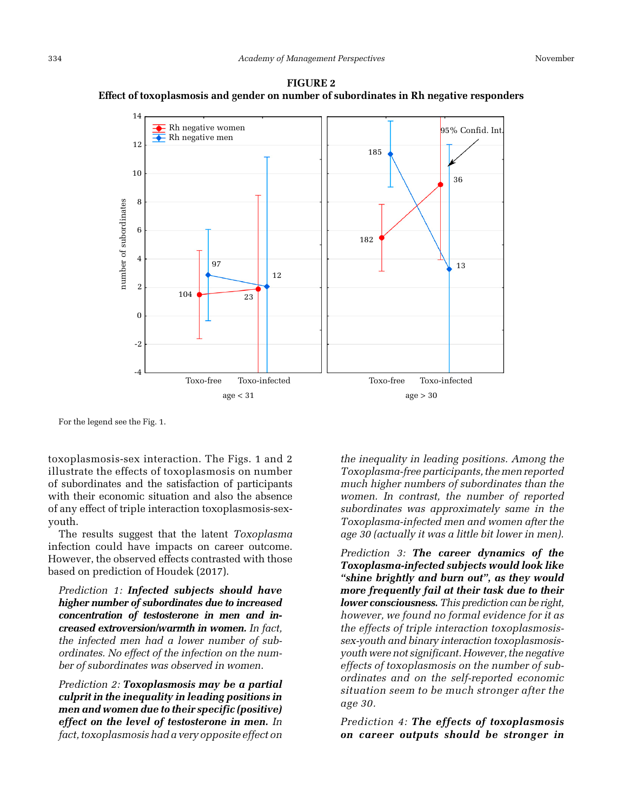<span id="page-2-0"></span>



For the legend see the [Fig. 1](#page-1-0).

toxoplasmosis-sex interaction. The [Figs. 1](#page-1-0) and 2 illustrate the effects of toxoplasmosis on number of subordinates and the satisfaction of participants with their economic situation and also the absence of any effect of triple interaction toxoplasmosis-sexyouth.

The results suggest that the latent Toxoplasma infection could have impacts on career outcome. However, the observed effects contrasted with those based on prediction of [Houdek \(2017\).](#page-6-0)

Prediction 1: Infected subjects should have higher number of subordinates due to increased concentration of testosterone in men and increased extroversion/warmth in women. In fact, the infected men had a lower number of subordinates. No effect of the infection on the number of subordinates was observed in women.

Prediction 2: Toxoplasmosis may be a partial culprit in the inequality in leading positions in men and women due to their specific (positive) effect on the level of testosterone in men. In fact, toxoplasmosis had a very opposite effect on the inequality in leading positions. Among the Toxoplasma-free participants, the men reported much higher numbers of subordinates than the women. In contrast, the number of reported subordinates was approximately same in the Toxoplasma-infected men and women after the age 30 (actually it was a little bit lower in men).

Prediction 3: The career dynamics of the Toxoplasma-infected subjects would look like "shine brightly and burn out", as they would more frequently fail at their task due to their lower consciousness. This prediction can be right, however, we found no formal evidence for it as the effects of triple interaction toxoplasmosissex-youth and binary interaction toxoplasmosisyouth were not significant. However, the negative effects of toxoplasmosis on the number of subordinates and on the self-reported economic situation seem to be much stronger after the age 30.

Prediction 4: The effects of toxoplasmosis on career outputs should be stronger in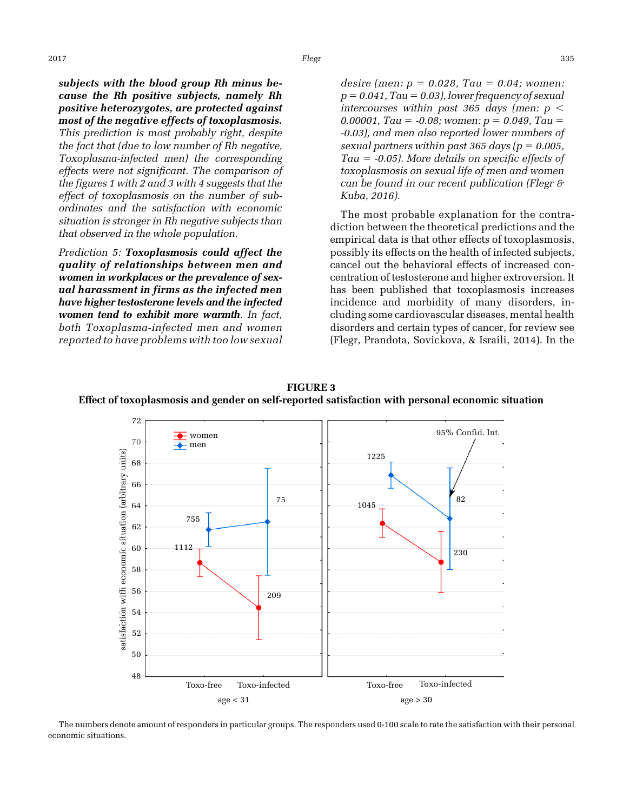<span id="page-3-0"></span>subjects with the blood group Rh minus because the Rh positive subjects, namely Rh positive heterozygotes, are protected against most of the negative effects of toxoplasmosis. This prediction is most probably right, despite the fact that (due to low number of Rh negative, Toxoplasma-infected men) the corresponding effects were not significant. The comparison of the [figures 1](#page-1-0) with [2](#page-2-0) and 3 with [4](#page-4-0) suggests that the effect of toxoplasmosis on the number of subordinates and the satisfaction with economic situation is stronger in Rh negative subjects than that observed in the whole population.

Prediction 5: Toxoplasmosis could affect the quality of relationships between men and women in workplaces or the prevalence of sexual harassment in firms as the infected men have higher testosterone levels and the infected women tend to exhibit more warmth. In fact, both Toxoplasma-infected men and women reported to have problems with too low sexual desire (men:  $p = 0.028$ , Tau = 0.04; women:  $p = 0.041$ , Tau = 0.03), lower frequency of sexual intercourses within past 365 days (men:  $p <$ 0.00001, Tau =  $-0.08$ ; women:  $p = 0.049$ , Tau = -0.03), and men also reported lower numbers of sexual partners within past 365 days ( $p = 0.005$ , Tau  $=$  -0.05). More details on specific effects of toxoplasmosis on sexual life of men and women can be found in our recent publication [\(Flegr &](#page-6-0) [Kuba, 2016\)](#page-6-0).

The most probable explanation for the contradiction between the theoretical predictions and the empirical data is that other effects of toxoplasmosis, possibly its effects on the health of infected subjects, cancel out the behavioral effects of increased concentration of testosterone and higher extroversion. It has been published that toxoplasmosis increases incidence and morbidity of many disorders, including some cardiovascular diseases, mental health disorders and certain types of cancer, for review see [\(Flegr, Prandota, Sovickova, & Israili, 2014\)](#page-6-0). In the



FIGURE 3 Effect of toxoplasmosis and gender on self-reported satisfaction with personal economic situation

The numbers denote amount of responders in particular groups. The responders used 0-100 scale to rate the satisfaction with their personal economic situations.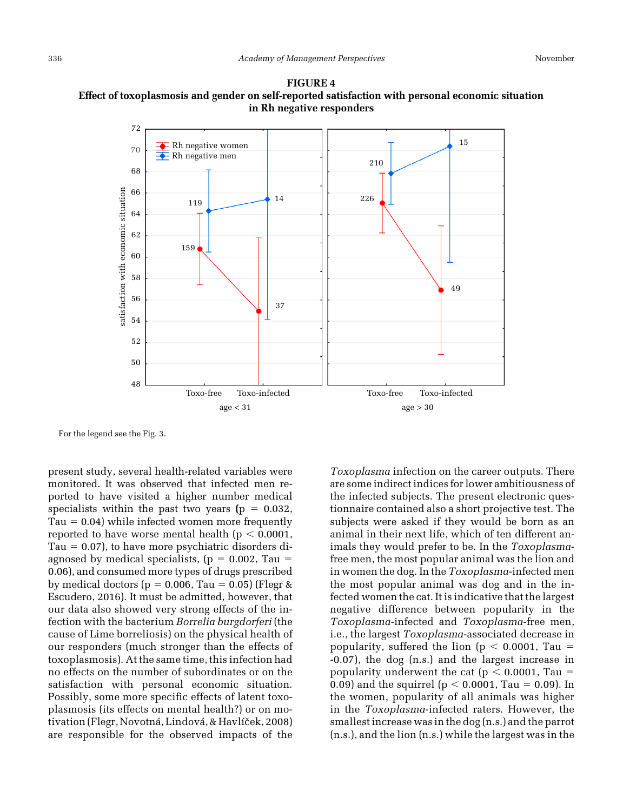

<span id="page-4-0"></span>FIGURE 4 Effect of toxoplasmosis and gender on self-reported satisfaction with personal economic situation in Rh negative responders

For the legend see the [Fig. 3](#page-3-0).

present study, several health-related variables were monitored. It was observed that infected men reported to have visited a higher number medical specialists within the past two years ( $p = 0.032$ ,  $Tau = 0.04$ ) while infected women more frequently reported to have worse mental health ( $p < 0.0001$ , Tau  $= 0.07$ ), to have more psychiatric disorders diagnosed by medical specialists,  $(p = 0.002, Tau =$ 0.06), and consumed more types of drugs prescribed by medical doctors ( $p = 0.006$ , Tau = 0.05) ([Flegr &](#page-6-0) [Escudero, 2016](#page-6-0)). It must be admitted, however, that our data also showed very strong effects of the infection with the bacterium Borrelia burgdorferi (the cause of Lime borreliosis) on the physical health of our responders (much stronger than the effects of toxoplasmosis). At the same time, this infection had no effects on the number of subordinates or on the satisfaction with personal economic situation. Possibly, some more specific effects of latent toxoplasmosis (its effects on mental health?) or on mo-tivation (Flegr, Novotná, Lindová[, & Havl](#page-6-0)íček, 2008) are responsible for the observed impacts of the

Toxoplasma infection on the career outputs. There are some indirect indices for lower ambitiousness of the infected subjects. The present electronic questionnaire contained also a short projective test. The subjects were asked if they would be born as an animal in their next life, which of ten different animals they would prefer to be. In the Toxoplasmafree men, the most popular animal was the lion and in women the dog. In the Toxoplasma-infected men the most popular animal was dog and in the infected women the cat. It is indicative that the largest negative difference between popularity in the Toxoplasma-infected and Toxoplasma-free men, i.e., the largest Toxoplasma-associated decrease in popularity, suffered the lion ( $p < 0.0001$ , Tau = -0.07), the dog (n.s.) and the largest increase in popularity underwent the cat ( $p < 0.0001$ , Tau = 0.09) and the squirrel ( $p < 0.0001$ , Tau = 0.09). In the women, popularity of all animals was higher in the Toxoplasma-infected raters. However, the smallest increase was in the dog (n.s.) and the parrot (n.s.), and the lion (n.s.) while the largest was in the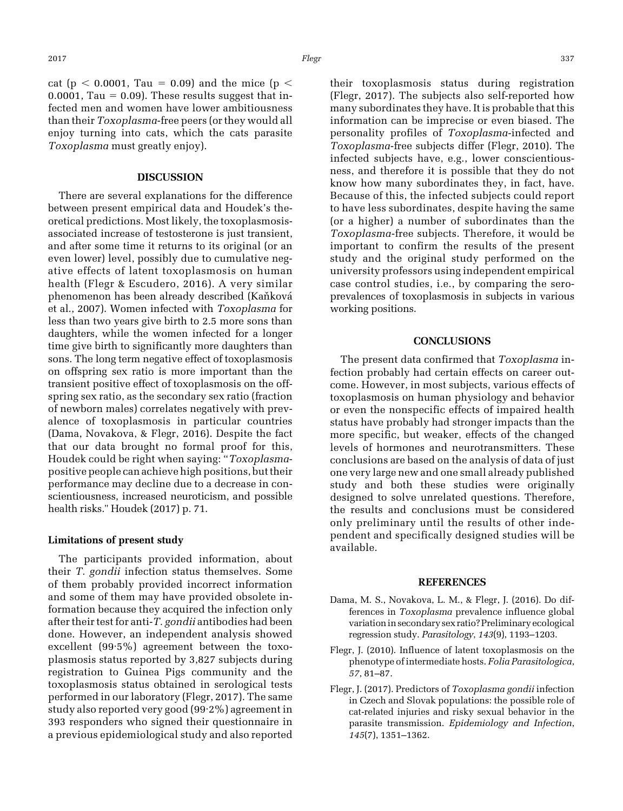cat (p  $\lt$  0.0001, Tau = 0.09) and the mice (p  $\lt$  $0.0001$ , Tau = 0.09). These results suggest that infected men and women have lower ambitiousness than their Toxoplasma-free peers (or they would all enjoy turning into cats, which the cats parasite Toxoplasma must greatly enjoy).

## DISCUSSION

There are several explanations for the difference between present empirical data and Houdek's theoretical predictions. Most likely, the toxoplasmosisassociated increase of testosterone is just transient, and after some time it returns to its original (or an even lower) level, possibly due to cumulative negative effects of latent toxoplasmosis on human health ([Flegr & Escudero, 2016](#page-6-0)). A very similar phenomenon has been already described [\(Ka](#page-6-0)ň[kov](#page-6-0)á [et al., 2007\)](#page-6-0). Women infected with Toxoplasma for less than two years give birth to 2.5 more sons than daughters, while the women infected for a longer time give birth to significantly more daughters than sons. The long term negative effect of toxoplasmosis on offspring sex ratio is more important than the transient positive effect of toxoplasmosis on the offspring sex ratio, as the secondary sex ratio (fraction of newborn males) correlates negatively with prevalence of toxoplasmosis in particular countries (Dama, Novakova, & Flegr, 2016). Despite the fact that our data brought no formal proof for this, Houdek could be right when saying: "Toxoplasmapositive people can achieve high positions, but their performance may decline due to a decrease in conscientiousness, increased neuroticism, and possible health risks." [Houdek \(2017\)](#page-6-0) p. 71.

#### Limitations of present study

The participants provided information, about their T. gondii infection status themselves. Some of them probably provided incorrect information and some of them may have provided obsolete information because they acquired the infection only after their test for anti-T. gondii antibodies had been done. However, an independent analysis showed excellent (99·5%) agreement between the toxoplasmosis status reported by 3,827 subjects during registration to Guinea Pigs community and the toxoplasmosis status obtained in serological tests performed in our laboratory (Flegr, 2017). The same study also reported very good (99·2%) agreement in 393 responders who signed their questionnaire in a previous epidemiological study and also reported

their toxoplasmosis status during registration (Flegr, 2017). The subjects also self-reported how many subordinates they have. It is probable that this information can be imprecise or even biased. The personality profiles of Toxoplasma-infected and Toxoplasma-free subjects differ (Flegr, 2010). The infected subjects have, e.g., lower conscientiousness, and therefore it is possible that they do not know how many subordinates they, in fact, have. Because of this, the infected subjects could report to have less subordinates, despite having the same (or a higher) a number of subordinates than the Toxoplasma-free subjects. Therefore, it would be important to confirm the results of the present study and the original study performed on the university professors using independent empirical case control studies, i.e., by comparing the seroprevalences of toxoplasmosis in subjects in various working positions.

## **CONCLUSIONS**

The present data confirmed that Toxoplasma infection probably had certain effects on career outcome. However, in most subjects, various effects of toxoplasmosis on human physiology and behavior or even the nonspecific effects of impaired health status have probably had stronger impacts than the more specific, but weaker, effects of the changed levels of hormones and neurotransmitters. These conclusions are based on the analysis of data of just one very large new and one small already published study and both these studies were originally designed to solve unrelated questions. Therefore, the results and conclusions must be considered only preliminary until the results of other independent and specifically designed studies will be available.

#### REFERENCES

- Dama, M. S., Novakova, L. M., & Flegr, J. (2016). Do differences in Toxoplasma prevalence influence global variation in secondary sex ratio? Preliminary ecological regression study. Parasitology, 143(9), 1193–1203.
- Flegr, J. (2010). Influence of latent toxoplasmosis on the phenotype of intermediate hosts. Folia Parasitologica, 57, 81–87.
- Flegr, J. (2017). Predictors of Toxoplasma gondii infection in Czech and Slovak populations: the possible role of cat-related injuries and risky sexual behavior in the parasite transmission. Epidemiology and Infection, 145(7), 1351–1362.